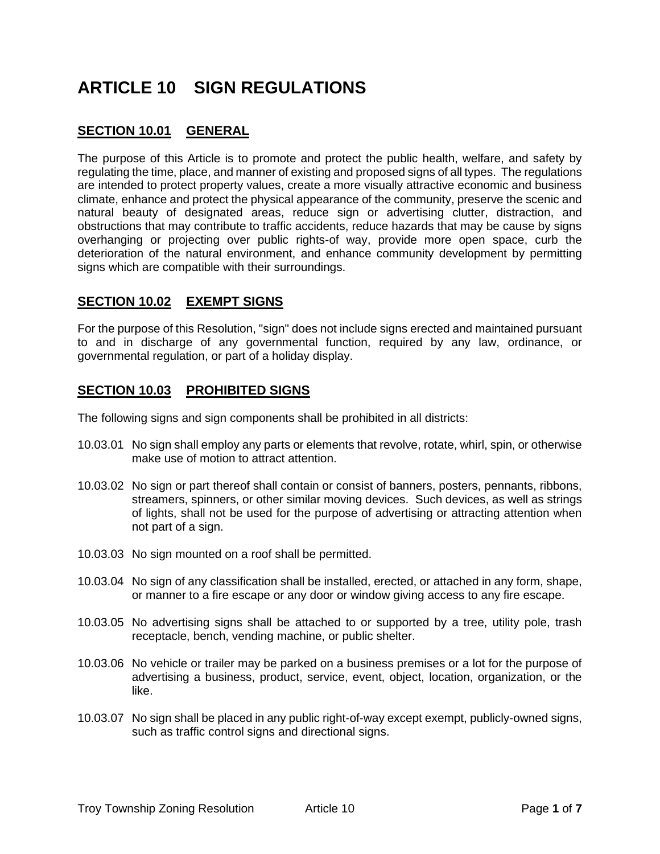# **ARTICLE 10 SIGN REGULATIONS**

# **SECTION 10.01 GENERAL**

The purpose of this Article is to promote and protect the public health, welfare, and safety by regulating the time, place, and manner of existing and proposed signs of all types. The regulations are intended to protect property values, create a more visually attractive economic and business climate, enhance and protect the physical appearance of the community, preserve the scenic and natural beauty of designated areas, reduce sign or advertising clutter, distraction, and obstructions that may contribute to traffic accidents, reduce hazards that may be cause by signs overhanging or projecting over public rights-of way, provide more open space, curb the deterioration of the natural environment, and enhance community development by permitting signs which are compatible with their surroundings.

## **SECTION 10.02 EXEMPT SIGNS**

For the purpose of this Resolution, "sign" does not include signs erected and maintained pursuant to and in discharge of any governmental function, required by any law, ordinance, or governmental regulation, or part of a holiday display.

# **SECTION 10.03 PROHIBITED SIGNS**

The following signs and sign components shall be prohibited in all districts:

- 10.03.01 No sign shall employ any parts or elements that revolve, rotate, whirl, spin, or otherwise make use of motion to attract attention.
- 10.03.02 No sign or part thereof shall contain or consist of banners, posters, pennants, ribbons, streamers, spinners, or other similar moving devices. Such devices, as well as strings of lights, shall not be used for the purpose of advertising or attracting attention when not part of a sign.
- 10.03.03 No sign mounted on a roof shall be permitted.
- 10.03.04 No sign of any classification shall be installed, erected, or attached in any form, shape, or manner to a fire escape or any door or window giving access to any fire escape.
- 10.03.05 No advertising signs shall be attached to or supported by a tree, utility pole, trash receptacle, bench, vending machine, or public shelter.
- 10.03.06 No vehicle or trailer may be parked on a business premises or a lot for the purpose of advertising a business, product, service, event, object, location, organization, or the like.
- 10.03.07 No sign shall be placed in any public right-of-way except exempt, publicly-owned signs, such as traffic control signs and directional signs.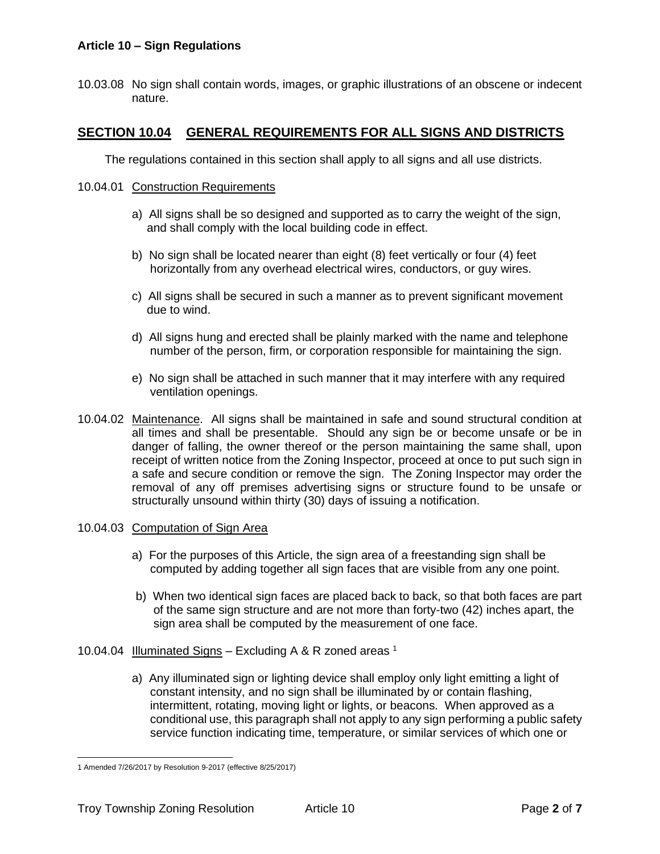## **Article 10 – Sign Regulations**

10.03.08 No sign shall contain words, images, or graphic illustrations of an obscene or indecent nature.

## **SECTION 10.04 GENERAL REQUIREMENTS FOR ALL SIGNS AND DISTRICTS**

The regulations contained in this section shall apply to all signs and all use districts.

#### 10.04.01 Construction Requirements

- a) All signs shall be so designed and supported as to carry the weight of the sign, and shall comply with the local building code in effect.
- b) No sign shall be located nearer than eight (8) feet vertically or four (4) feet horizontally from any overhead electrical wires, conductors, or guy wires.
- c) All signs shall be secured in such a manner as to prevent significant movement due to wind.
- d) All signs hung and erected shall be plainly marked with the name and telephone number of the person, firm, or corporation responsible for maintaining the sign.
- e) No sign shall be attached in such manner that it may interfere with any required ventilation openings.
- 10.04.02 Maintenance. All signs shall be maintained in safe and sound structural condition at all times and shall be presentable. Should any sign be or become unsafe or be in danger of falling, the owner thereof or the person maintaining the same shall, upon receipt of written notice from the Zoning Inspector, proceed at once to put such sign in a safe and secure condition or remove the sign. The Zoning Inspector may order the removal of any off premises advertising signs or structure found to be unsafe or structurally unsound within thirty (30) days of issuing a notification.

#### 10.04.03 Computation of Sign Area

- a) For the purposes of this Article, the sign area of a freestanding sign shall be computed by adding together all sign faces that are visible from any one point.
- b) When two identical sign faces are placed back to back, so that both faces are part of the same sign structure and are not more than forty-two (42) inches apart, the sign area shall be computed by the measurement of one face.
- 10.04.04 Illuminated Signs Excluding A & R zoned areas  $1$ 
	- a) Any illuminated sign or lighting device shall employ only light emitting a light of constant intensity, and no sign shall be illuminated by or contain flashing, intermittent, rotating, moving light or lights, or beacons. When approved as a conditional use, this paragraph shall not apply to any sign performing a public safety service function indicating time, temperature, or similar services of which one or

<sup>1</sup> Amended 7/26/2017 by Resolution 9-2017 (effective 8/25/2017)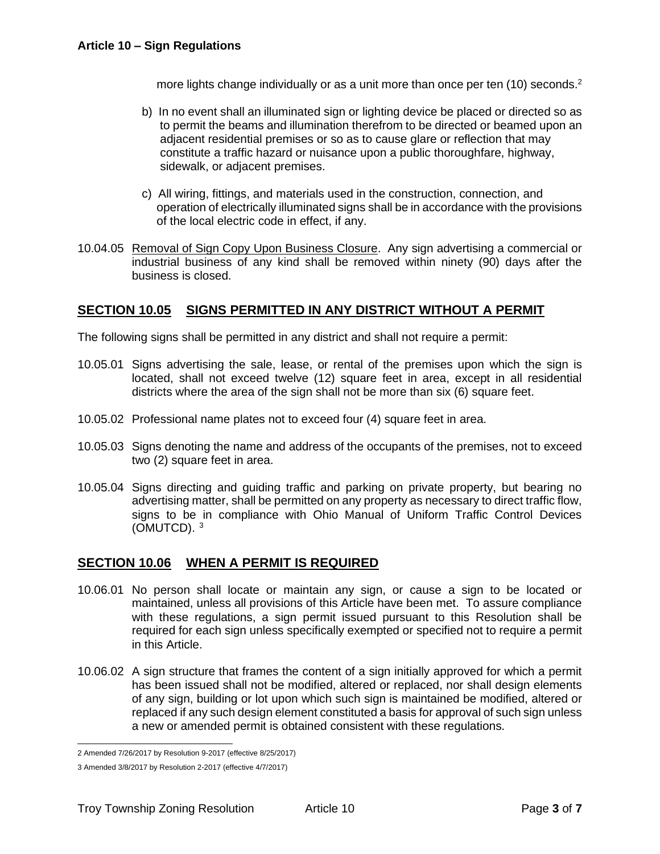more lights change individually or as a unit more than once per ten (10) seconds.<sup>2</sup>

- b) In no event shall an illuminated sign or lighting device be placed or directed so as to permit the beams and illumination therefrom to be directed or beamed upon an adjacent residential premises or so as to cause glare or reflection that may constitute a traffic hazard or nuisance upon a public thoroughfare, highway, sidewalk, or adjacent premises.
- c) All wiring, fittings, and materials used in the construction, connection, and operation of electrically illuminated signs shall be in accordance with the provisions of the local electric code in effect, if any.
- 10.04.05 Removal of Sign Copy Upon Business Closure. Any sign advertising a commercial or industrial business of any kind shall be removed within ninety (90) days after the business is closed.

## **SECTION 10.05 SIGNS PERMITTED IN ANY DISTRICT WITHOUT A PERMIT**

The following signs shall be permitted in any district and shall not require a permit:

- 10.05.01 Signs advertising the sale, lease, or rental of the premises upon which the sign is located, shall not exceed twelve (12) square feet in area, except in all residential districts where the area of the sign shall not be more than six (6) square feet.
- 10.05.02 Professional name plates not to exceed four (4) square feet in area.
- 10.05.03 Signs denoting the name and address of the occupants of the premises, not to exceed two (2) square feet in area.
- 10.05.04 Signs directing and guiding traffic and parking on private property, but bearing no advertising matter, shall be permitted on any property as necessary to direct traffic flow, signs to be in compliance with Ohio Manual of Uniform Traffic Control Devices (OMUTCD).<sup>3</sup>

## **SECTION 10.06 WHEN A PERMIT IS REQUIRED**

- 10.06.01 No person shall locate or maintain any sign, or cause a sign to be located or maintained, unless all provisions of this Article have been met. To assure compliance with these regulations, a sign permit issued pursuant to this Resolution shall be required for each sign unless specifically exempted or specified not to require a permit in this Article.
- 10.06.02 A sign structure that frames the content of a sign initially approved for which a permit has been issued shall not be modified, altered or replaced, nor shall design elements of any sign, building or lot upon which such sign is maintained be modified, altered or replaced if any such design element constituted a basis for approval of such sign unless a new or amended permit is obtained consistent with these regulations.

<sup>2</sup> Amended 7/26/2017 by Resolution 9-2017 (effective 8/25/2017)

<sup>3</sup> Amended 3/8/2017 by Resolution 2-2017 (effective 4/7/2017)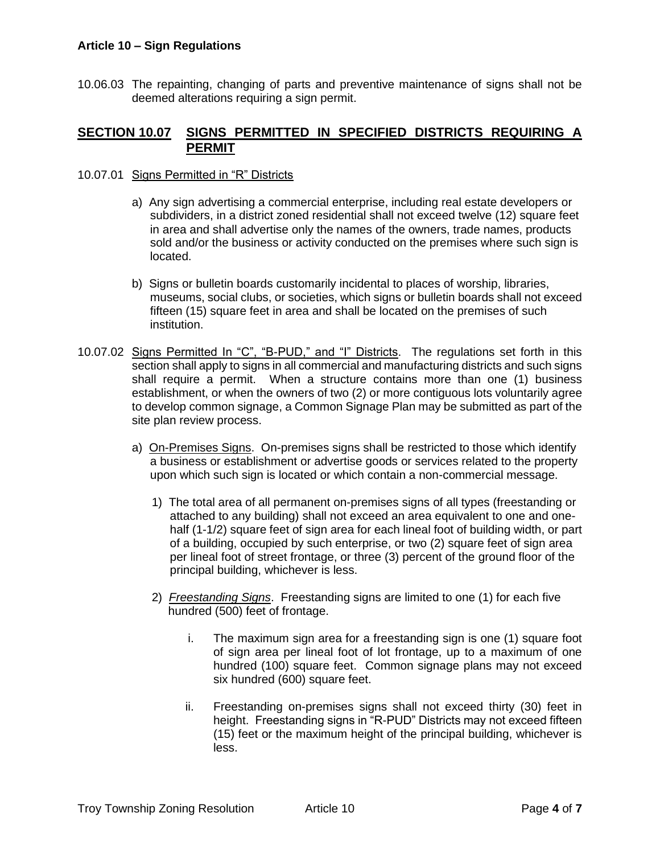#### **Article 10 – Sign Regulations**

10.06.03 The repainting, changing of parts and preventive maintenance of signs shall not be deemed alterations requiring a sign permit.

## **SECTION 10.07 SIGNS PERMITTED IN SPECIFIED DISTRICTS REQUIRING A PERMIT**

- 10.07.01 Signs Permitted in "R" Districts
	- a) Any sign advertising a commercial enterprise, including real estate developers or subdividers, in a district zoned residential shall not exceed twelve (12) square feet in area and shall advertise only the names of the owners, trade names, products sold and/or the business or activity conducted on the premises where such sign is located.
	- b) Signs or bulletin boards customarily incidental to places of worship, libraries, museums, social clubs, or societies, which signs or bulletin boards shall not exceed fifteen (15) square feet in area and shall be located on the premises of such institution.
- 10.07.02 Signs Permitted In "C", "B-PUD," and "I" Districts. The regulations set forth in this section shall apply to signs in all commercial and manufacturing districts and such signs shall require a permit. When a structure contains more than one (1) business establishment, or when the owners of two (2) or more contiguous lots voluntarily agree to develop common signage, a Common Signage Plan may be submitted as part of the site plan review process.
	- a) On-Premises Signs. On-premises signs shall be restricted to those which identify a business or establishment or advertise goods or services related to the property upon which such sign is located or which contain a non-commercial message.
		- 1) The total area of all permanent on-premises signs of all types (freestanding or attached to any building) shall not exceed an area equivalent to one and one half (1-1/2) square feet of sign area for each lineal foot of building width, or part of a building, occupied by such enterprise, or two (2) square feet of sign area per lineal foot of street frontage, or three (3) percent of the ground floor of the principal building, whichever is less.
		- 2) *Freestanding Signs*. Freestanding signs are limited to one (1) for each five hundred (500) feet of frontage.
			- i. The maximum sign area for a freestanding sign is one (1) square foot of sign area per lineal foot of lot frontage, up to a maximum of one hundred (100) square feet. Common signage plans may not exceed six hundred (600) square feet.
			- ii. Freestanding on-premises signs shall not exceed thirty (30) feet in height. Freestanding signs in "R-PUD" Districts may not exceed fifteen (15) feet or the maximum height of the principal building, whichever is less.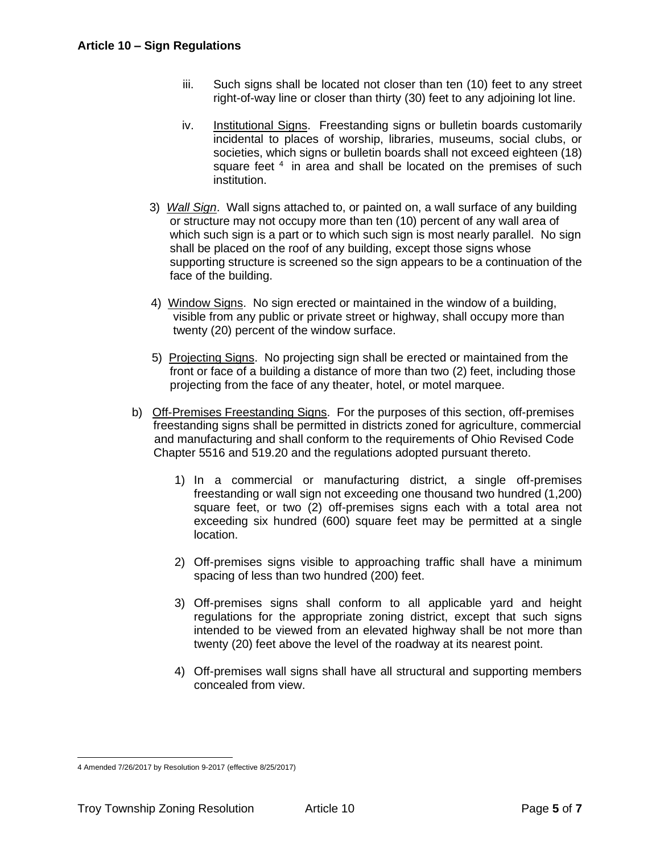- iii. Such signs shall be located not closer than ten (10) feet to any street right-of-way line or closer than thirty (30) feet to any adjoining lot line.
- iv. Institutional Signs. Freestanding signs or bulletin boards customarily incidental to places of worship, libraries, museums, social clubs, or societies, which signs or bulletin boards shall not exceed eighteen (18) square feet <sup>4</sup> in area and shall be located on the premises of such institution.
- 3) *Wall Sign*. Wall signs attached to, or painted on, a wall surface of any building or structure may not occupy more than ten (10) percent of any wall area of which such sign is a part or to which such sign is most nearly parallel. No sign shall be placed on the roof of any building, except those signs whose supporting structure is screened so the sign appears to be a continuation of the face of the building.
- 4) Window Signs. No sign erected or maintained in the window of a building, visible from any public or private street or highway, shall occupy more than twenty (20) percent of the window surface.
- 5) Projecting Signs. No projecting sign shall be erected or maintained from the front or face of a building a distance of more than two (2) feet, including those projecting from the face of any theater, hotel, or motel marquee.
- b) Off-Premises Freestanding Signs. For the purposes of this section, off-premises freestanding signs shall be permitted in districts zoned for agriculture, commercial and manufacturing and shall conform to the requirements of Ohio Revised Code Chapter 5516 and 519.20 and the regulations adopted pursuant thereto.
	- 1) In a commercial or manufacturing district, a single off-premises freestanding or wall sign not exceeding one thousand two hundred (1,200) square feet, or two (2) off-premises signs each with a total area not exceeding six hundred (600) square feet may be permitted at a single location.
	- 2) Off-premises signs visible to approaching traffic shall have a minimum spacing of less than two hundred (200) feet.
	- 3) Off-premises signs shall conform to all applicable yard and height regulations for the appropriate zoning district, except that such signs intended to be viewed from an elevated highway shall be not more than twenty (20) feet above the level of the roadway at its nearest point.
	- 4) Off-premises wall signs shall have all structural and supporting members concealed from view.

<sup>4</sup> Amended 7/26/2017 by Resolution 9-2017 (effective 8/25/2017)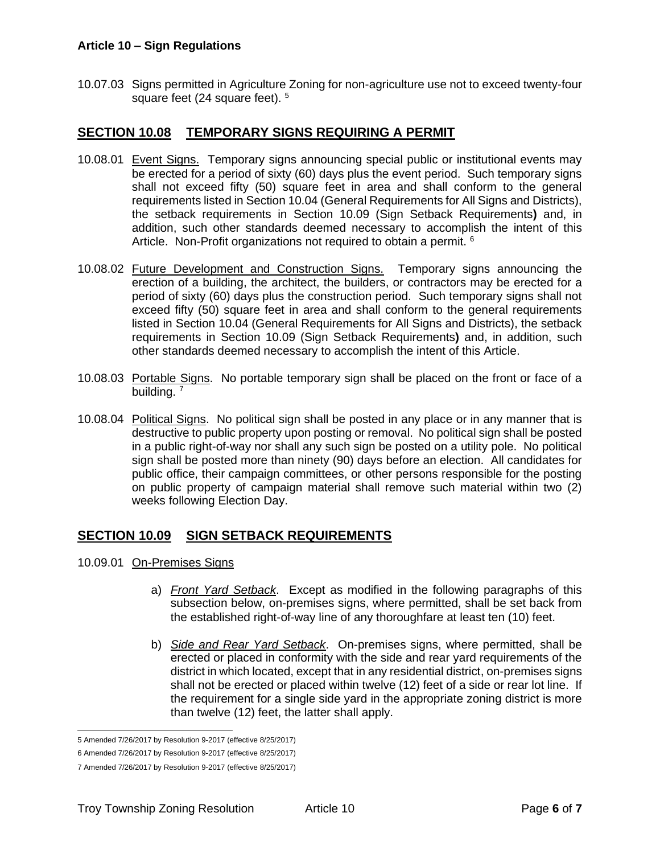#### **Article 10 – Sign Regulations**

10.07.03 Signs permitted in Agriculture Zoning for non-agriculture use not to exceed twenty-four square feet (24 square feet). <sup>5</sup>

## **SECTION 10.08 TEMPORARY SIGNS REQUIRING A PERMIT**

- 10.08.01 Event Signs. Temporary signs announcing special public or institutional events may be erected for a period of sixty (60) days plus the event period. Such temporary signs shall not exceed fifty (50) square feet in area and shall conform to the general requirements listed in Section 10.04 (General Requirements for All Signs and Districts), the setback requirements in [Section 10.09](#page-5-0) (Sign Setback Requirements**)** and, in addition, such other standards deemed necessary to accomplish the intent of this Article. Non-Profit organizations not required to obtain a permit. <sup>6</sup>
- 10.08.02 Future Development and Construction Signs. Temporary signs announcing the erection of a building, the architect, the builders, or contractors may be erected for a period of sixty (60) days plus the construction period. Such temporary signs shall not exceed fifty (50) square feet in area and shall conform to the general requirements listed in Section 10.04 (General Requirements for All Signs and Districts), the setback requirements in [Section 10.09](#page-5-0) (Sign Setback Requirements**)** and, in addition, such other standards deemed necessary to accomplish the intent of this Article.
- 10.08.03 Portable Signs. No portable temporary sign shall be placed on the front or face of a building.<sup>7</sup>
- 10.08.04 Political Signs. No political sign shall be posted in any place or in any manner that is destructive to public property upon posting or removal. No political sign shall be posted in a public right-of-way nor shall any such sign be posted on a utility pole. No political sign shall be posted more than ninety (90) days before an election. All candidates for public office, their campaign committees, or other persons responsible for the posting on public property of campaign material shall remove such material within two (2) weeks following Election Day.

## <span id="page-5-0"></span>**SECTION 10.09 SIGN SETBACK REQUIREMENTS**

- 10.09.01 On-Premises Signs
	- a) *Front Yard Setback*. Except as modified in the following paragraphs of this subsection below, on-premises signs, where permitted, shall be set back from the established right-of-way line of any thoroughfare at least ten (10) feet.
	- b) *Side and Rear Yard Setback*. On-premises signs, where permitted, shall be erected or placed in conformity with the side and rear yard requirements of the district in which located, except that in any residential district, on-premises signs shall not be erected or placed within twelve (12) feet of a side or rear lot line. If the requirement for a single side yard in the appropriate zoning district is more than twelve (12) feet, the latter shall apply.

<sup>5</sup> Amended 7/26/2017 by Resolution 9-2017 (effective 8/25/2017)

<sup>6</sup> Amended 7/26/2017 by Resolution 9-2017 (effective 8/25/2017)

<sup>7</sup> Amended 7/26/2017 by Resolution 9-2017 (effective 8/25/2017)